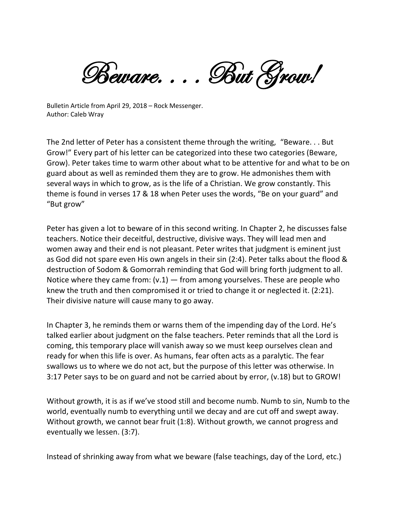Beware.... But Grow!

Bulletin Article from April 29, 2018 – Rock Messenger. Author: Caleb Wray

The 2nd letter of Peter has a consistent theme through the writing, "Beware. . . But Grow!" Every part of his letter can be categorized into these two categories (Beware, Grow). Peter takes time to warm other about what to be attentive for and what to be on guard about as well as reminded them they are to grow. He admonishes them with several ways in which to grow, as is the life of a Christian. We grow constantly. This theme is found in verses 17 & 18 when Peter uses the words, "Be on your guard" and "But grow"

Peter has given a lot to beware of in this second writing. In Chapter 2, he discusses false teachers. Notice their deceitful, destructive, divisive ways. They will lead men and women away and their end is not pleasant. Peter writes that judgment is eminent just as God did not spare even His own angels in their sin (2:4). Peter talks about the flood & destruction of Sodom & Gomorrah reminding that God will bring forth judgment to all. Notice where they came from:  $(v.1)$  — from among yourselves. These are people who knew the truth and then compromised it or tried to change it or neglected it. (2:21). Their divisive nature will cause many to go away.

In Chapter 3, he reminds them or warns them of the impending day of the Lord. He's talked earlier about judgment on the false teachers. Peter reminds that all the Lord is coming, this temporary place will vanish away so we must keep ourselves clean and ready for when this life is over. As humans, fear often acts as a paralytic. The fear swallows us to where we do not act, but the purpose of this letter was otherwise. In 3:17 Peter says to be on guard and not be carried about by error, (v.18) but to GROW!

Without growth, it is as if we've stood still and become numb. Numb to sin, Numb to the world, eventually numb to everything until we decay and are cut off and swept away. Without growth, we cannot bear fruit (1:8). Without growth, we cannot progress and eventually we lessen. (3:7).

Instead of shrinking away from what we beware (false teachings, day of the Lord, etc.)